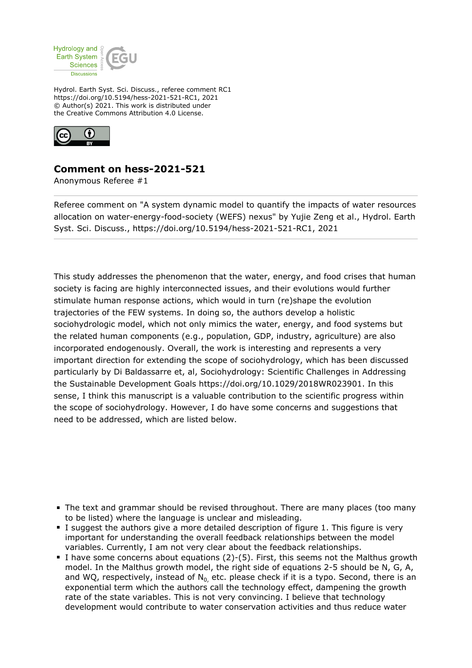

Hydrol. Earth Syst. Sci. Discuss., referee comment RC1 https://doi.org/10.5194/hess-2021-521-RC1, 2021 © Author(s) 2021. This work is distributed under the Creative Commons Attribution 4.0 License.



## **Comment on hess-2021-521**

Anonymous Referee #1

Referee comment on "A system dynamic model to quantify the impacts of water resources allocation on water-energy-food-society (WEFS) nexus" by Yujie Zeng et al., Hydrol. Earth Syst. Sci. Discuss., https://doi.org/10.5194/hess-2021-521-RC1, 2021

This study addresses the phenomenon that the water, energy, and food crises that human society is facing are highly interconnected issues, and their evolutions would further stimulate human response actions, which would in turn (re)shape the evolution trajectories of the FEW systems. In doing so, the authors develop a holistic sociohydrologic model, which not only mimics the water, energy, and food systems but the related human components (e.g., population, GDP, industry, agriculture) are also incorporated endogenously. Overall, the work is interesting and represents a very important direction for extending the scope of sociohydrology, which has been discussed particularly by Di Baldassarre et, al, Sociohydrology: Scientific Challenges in Addressing the Sustainable Development Goals https://doi.org/10.1029/2018WR023901. In this sense, I think this manuscript is a valuable contribution to the scientific progress within the scope of sociohydrology. However, I do have some concerns and suggestions that need to be addressed, which are listed below.

- The text and grammar should be revised throughout. There are many places (too many to be listed) where the language is unclear and misleading.
- I suggest the authors give a more detailed description of figure 1. This figure is very important for understanding the overall feedback relationships between the model variables. Currently, I am not very clear about the feedback relationships.
- I have some concerns about equations  $(2)-(5)$ . First, this seems not the Malthus growth model. In the Malthus growth model, the right side of equations 2-5 should be N, G, A, and WQ, respectively, instead of  $N_0$  etc. please check if it is a typo. Second, there is an exponential term which the authors call the technology effect, dampening the growth rate of the state variables. This is not very convincing. I believe that technology development would contribute to water conservation activities and thus reduce water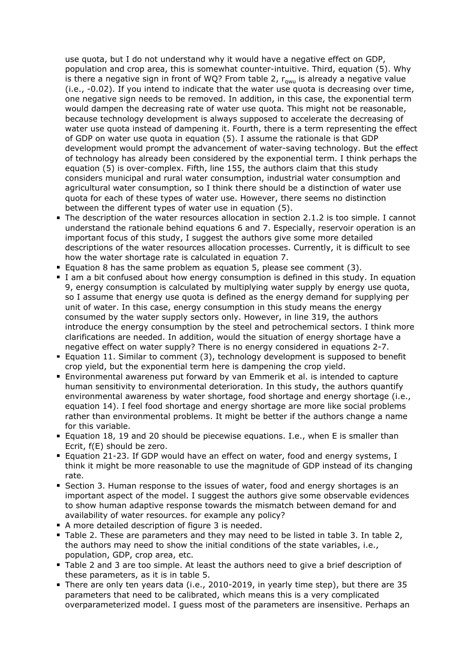use quota, but I do not understand why it would have a negative effect on GDP, population and crop area, this is somewhat counter-intuitive. Third, equation (5). Why is there a negative sign in front of WQ? From table 2,  $r_{\text{cwu}}$  is already a negative value (i.e., -0.02). If you intend to indicate that the water use quota is decreasing over time, one negative sign needs to be removed. In addition, in this case, the exponential term would dampen the decreasing rate of water use quota. This might not be reasonable, because technology development is always supposed to accelerate the decreasing of water use quota instead of dampening it. Fourth, there is a term representing the effect of GDP on water use quota in equation (5). I assume the rationale is that GDP development would prompt the advancement of water-saving technology. But the effect of technology has already been considered by the exponential term. I think perhaps the equation (5) is over-complex. Fifth, line 155, the authors claim that this study considers municipal and rural water consumption, industrial water consumption and agricultural water consumption, so I think there should be a distinction of water use quota for each of these types of water use. However, there seems no distinction between the different types of water use in equation (5).

- The description of the water resources allocation in section 2.1.2 is too simple. I cannot understand the rationale behind equations 6 and 7. Especially, reservoir operation is an important focus of this study, I suggest the authors give some more detailed descriptions of the water resources allocation processes. Currently, it is difficult to see how the water shortage rate is calculated in equation 7.
- Equation 8 has the same problem as equation 5, please see comment  $(3)$ .
- I am a bit confused about how energy consumption is defined in this study. In equation 9, energy consumption is calculated by multiplying water supply by energy use quota, so I assume that energy use quota is defined as the energy demand for supplying per unit of water. In this case, energy consumption in this study means the energy consumed by the water supply sectors only. However, in line 319, the authors introduce the energy consumption by the steel and petrochemical sectors. I think more clarifications are needed. In addition, would the situation of energy shortage have a negative effect on water supply? There is no energy considered in equations 2-7.
- Equation 11. Similar to comment (3), technology development is supposed to benefit crop yield, but the exponential term here is dampening the crop yield.
- Environmental awareness put forward by van Emmerik et al. is intended to capture human sensitivity to environmental deterioration. In this study, the authors quantify environmental awareness by water shortage, food shortage and energy shortage (i.e., equation 14). I feel food shortage and energy shortage are more like social problems rather than environmental problems. It might be better if the authors change a name for this variable.
- Equation 18, 19 and 20 should be piecewise equations. I.e., when E is smaller than Ecrit, f(E) should be zero.
- Equation 21-23. If GDP would have an effect on water, food and energy systems, I think it might be more reasonable to use the magnitude of GDP instead of its changing rate.
- Section 3. Human response to the issues of water, food and energy shortages is an important aspect of the model. I suggest the authors give some observable evidences to show human adaptive response towards the mismatch between demand for and availability of water resources. for example any policy?
- A more detailed description of figure 3 is needed.
- Table 2. These are parameters and they may need to be listed in table 3. In table 2, the authors may need to show the initial conditions of the state variables, i.e., population, GDP, crop area, etc.
- Table 2 and 3 are too simple. At least the authors need to give a brief description of these parameters, as it is in table 5.
- There are only ten years data (i.e., 2010-2019, in yearly time step), but there are 35 parameters that need to be calibrated, which means this is a very complicated overparameterized model. I guess most of the parameters are insensitive. Perhaps an